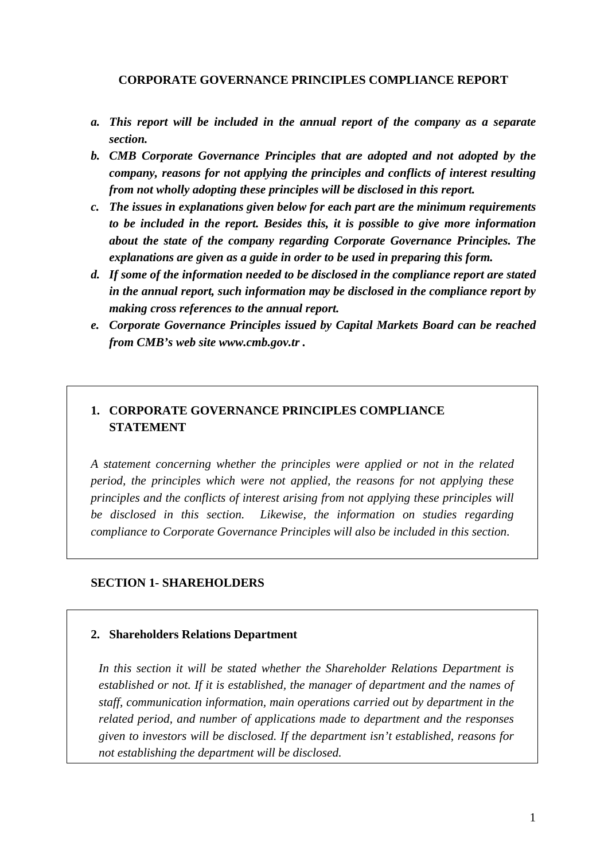### **CORPORATE GOVERNANCE PRINCIPLES COMPLIANCE REPORT**

- *a. This report will be included in the annual report of the company as a separate section.*
- *b. CMB Corporate Governance Principles that are adopted and not adopted by the company, reasons for not applying the principles and conflicts of interest resulting from not wholly adopting these principles will be disclosed in this report.*
- *c. The issues in explanations given below for each part are the minimum requirements to be included in the report. Besides this, it is possible to give more information about the state of the company regarding Corporate Governance Principles. The explanations are given as a guide in order to be used in preparing this form.*
- *d. If some of the information needed to be disclosed in the compliance report are stated in the annual report, such information may be disclosed in the compliance report by making cross references to the annual report.*
- *e. Corporate Governance Principles issued by Capital Markets Board can be reached from CMB's web site www.cmb.gov.tr .*

# **1. CORPORATE GOVERNANCE PRINCIPLES COMPLIANCE STATEMENT**

*A statement concerning whether the principles were applied or not in the related period, the principles which were not applied, the reasons for not applying these principles and the conflicts of interest arising from not applying these principles will be disclosed in this section. Likewise, the information on studies regarding compliance to Corporate Governance Principles will also be included in this section*.

## **SECTION 1- SHAREHOLDERS**

#### **2. Shareholders Relations Department**

*In this section it will be stated whether the Shareholder Relations Department is established or not. If it is established, the manager of department and the names of staff, communication information, main operations carried out by department in the related period, and number of applications made to department and the responses given to investors will be disclosed. If the department isn't established, reasons for not establishing the department will be disclosed.*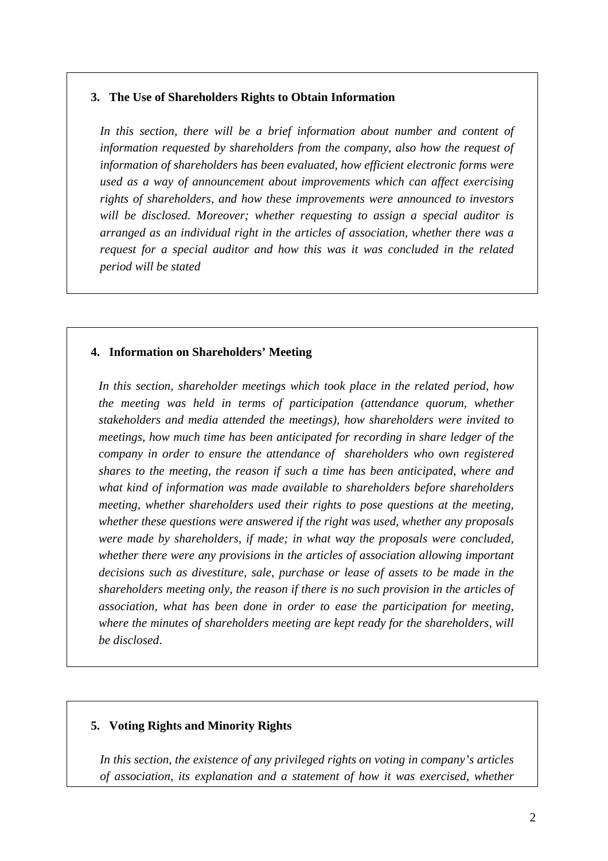### **3. The Use of Shareholders Rights to Obtain Information**

*In this section, there will be a brief information about number and content of information requested by shareholders from the company, also how the request of information of shareholders has been evaluated, how efficient electronic forms were used as a way of announcement about improvements which can affect exercising rights of shareholders, and how these improvements were announced to investors will be disclosed. Moreover; whether requesting to assign a special auditor is arranged as an individual right in the articles of association, whether there was a request for a special auditor and how this was it was concluded in the related period will be stated* 

## **4. Information on Shareholders' Meeting**

*In this section, shareholder meetings which took place in the related period, how the meeting was held in terms of participation (attendance quorum, whether stakeholders and media attended the meetings), how shareholders were invited to meetings, how much time has been anticipated for recording in share ledger of the company in order to ensure the attendance of shareholders who own registered shares to the meeting, the reason if such a time has been anticipated, where and what kind of information was made available to shareholders before shareholders meeting, whether shareholders used their rights to pose questions at the meeting, whether these questions were answered if the right was used, whether any proposals were made by shareholders, if made; in what way the proposals were concluded, whether there were any provisions in the articles of association allowing important decisions such as divestiture, sale, purchase or lease of assets to be made in the shareholders meeting only, the reason if there is no such provision in the articles of association, what has been done in order to ease the participation for meeting, where the minutes of shareholders meeting are kept ready for the shareholders, will be disclosed*.

## **5. Voting Rights and Minority Rights**

*In this section, the existence of any privileged rights on voting in company's articles of association, its explanation and a statement of how it was exercised, whether*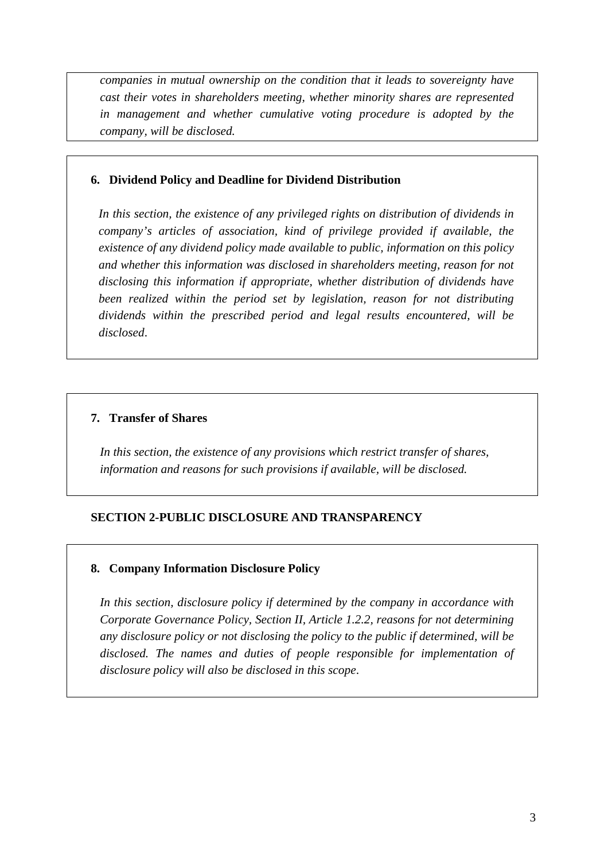*companies in mutual ownership on the condition that it leads to sovereignty have cast their votes in shareholders meeting, whether minority shares are represented in management and whether cumulative voting procedure is adopted by the company, will be disclosed.*

### **6. Dividend Policy and Deadline for Dividend Distribution**

*In this section, the existence of any privileged rights on distribution of dividends in company's articles of association, kind of privilege provided if available, the existence of any dividend policy made available to public, information on this policy and whether this information was disclosed in shareholders meeting, reason for not disclosing this information if appropriate, whether distribution of dividends have been realized within the period set by legislation, reason for not distributing dividends within the prescribed period and legal results encountered, will be disclosed*.

## **7. Transfer of Shares**

*In this section, the existence of any provisions which restrict transfer of shares, information and reasons for such provisions if available, will be disclosed.* 

## **SECTION 2-PUBLIC DISCLOSURE AND TRANSPARENCY**

## **8. Company Information Disclosure Policy**

*In this section, disclosure policy if determined by the company in accordance with Corporate Governance Policy, Section II, Article 1.2.2, reasons for not determining any disclosure policy or not disclosing the policy to the public if determined, will be disclosed. The names and duties of people responsible for implementation of disclosure policy will also be disclosed in this scope*.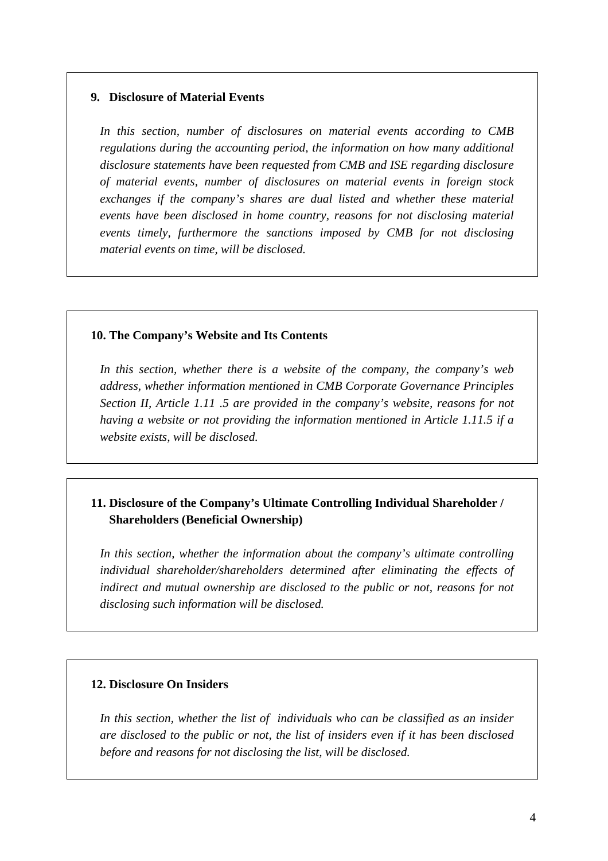#### **9. Disclosure of Material Events**

*In this section, number of disclosures on material events according to CMB regulations during the accounting period, the information on how many additional disclosure statements have been requested from CMB and ISE regarding disclosure of material events, number of disclosures on material events in foreign stock exchanges if the company's shares are dual listed and whether these material events have been disclosed in home country, reasons for not disclosing material events timely, furthermore the sanctions imposed by CMB for not disclosing material events on time, will be disclosed.* 

#### **10. The Company's Website and Its Contents**

*In this section, whether there is a website of the company, the company's web address, whether information mentioned in CMB Corporate Governance Principles Section II, Article 1.11 .5 are provided in the company's website, reasons for not having a website or not providing the information mentioned in Article 1.11.5 if a website exists, will be disclosed.* 

# **11. Disclosure of the Company's Ultimate Controlling Individual Shareholder / Shareholders (Beneficial Ownership)**

*In this section, whether the information about the company's ultimate controlling individual shareholder/shareholders determined after eliminating the effects of indirect and mutual ownership are disclosed to the public or not, reasons for not disclosing such information will be disclosed.* 

#### **12. Disclosure On Insiders**

*In this section, whether the list of individuals who can be classified as an insider are disclosed to the public or not, the list of insiders even if it has been disclosed before and reasons for not disclosing the list, will be disclosed.*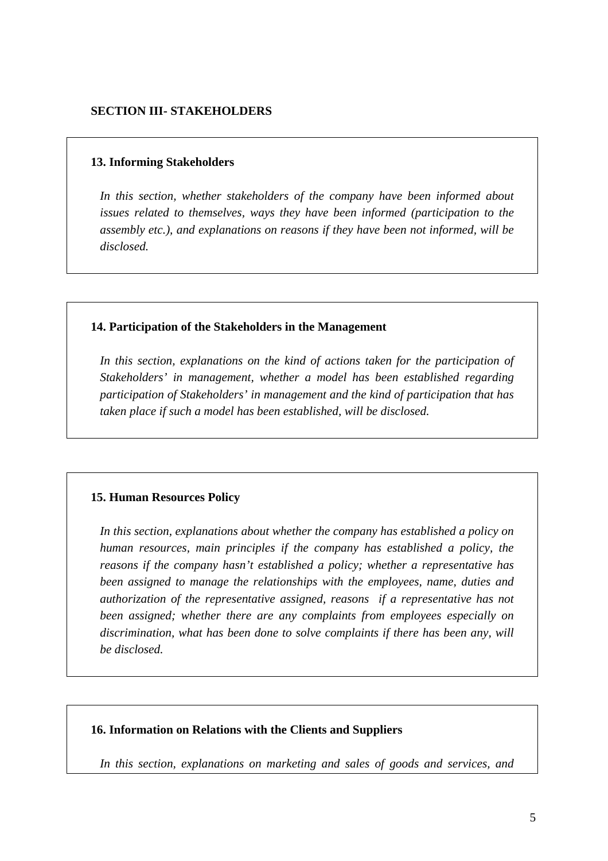#### **13. Informing Stakeholders**

*In this section, whether stakeholders of the company have been informed about issues related to themselves, ways they have been informed (participation to the assembly etc.), and explanations on reasons if they have been not informed, will be disclosed.* 

#### **14. Participation of the Stakeholders in the Management**

In this section, explanations on the kind of actions taken for the participation of *Stakeholders' in management, whether a model has been established regarding participation of Stakeholders' in management and the kind of participation that has taken place if such a model has been established, will be disclosed.* 

#### **15. Human Resources Policy**

*In this section, explanations about whether the company has established a policy on human resources, main principles if the company has established a policy, the reasons if the company hasn't established a policy; whether a representative has been assigned to manage the relationships with the employees, name, duties and authorization of the representative assigned, reasons if a representative has not been assigned; whether there are any complaints from employees especially on discrimination, what has been done to solve complaints if there has been any, will be disclosed.* 

#### **16. Information on Relations with the Clients and Suppliers**

*In this section, explanations on marketing and sales of goods and services, and*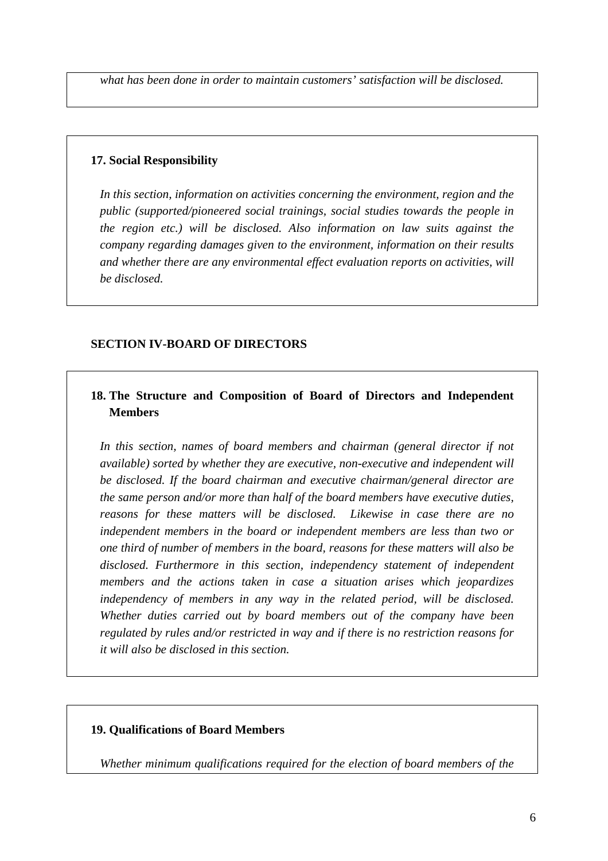*what has been done in order to maintain customers' satisfaction will be disclosed.* 

### **17. Social Responsibility**

*In this section, information on activities concerning the environment, region and the public (supported/pioneered social trainings, social studies towards the people in the region etc.) will be disclosed. Also information on law suits against the company regarding damages given to the environment, information on their results and whether there are any environmental effect evaluation reports on activities, will be disclosed.* 

## **SECTION IV-BOARD OF DIRECTORS**

# **18. The Structure and Composition of Board of Directors and Independent Members**

*In this section, names of board members and chairman (general director if not available) sorted by whether they are executive, non-executive and independent will be disclosed. If the board chairman and executive chairman/general director are the same person and/or more than half of the board members have executive duties, reasons for these matters will be disclosed. Likewise in case there are no independent members in the board or independent members are less than two or one third of number of members in the board, reasons for these matters will also be disclosed. Furthermore in this section, independency statement of independent members and the actions taken in case a situation arises which jeopardizes independency of members in any way in the related period, will be disclosed. Whether duties carried out by board members out of the company have been regulated by rules and/or restricted in way and if there is no restriction reasons for it will also be disclosed in this section.* 

## **19. Qualifications of Board Members**

*Whether minimum qualifications required for the election of board members of the*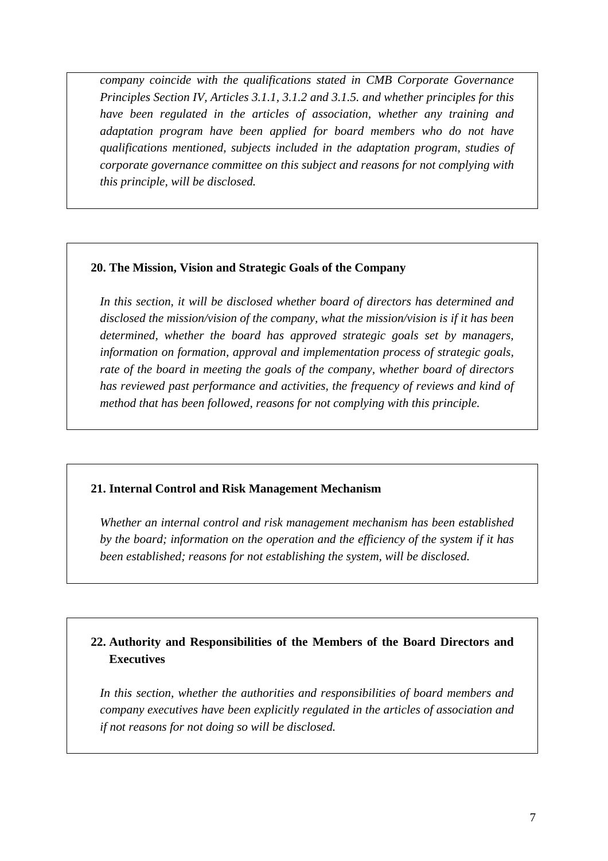*company coincide with the qualifications stated in CMB Corporate Governance Principles Section IV, Articles 3.1.1, 3.1.2 and 3.1.5. and whether principles for this have been regulated in the articles of association, whether any training and adaptation program have been applied for board members who do not have qualifications mentioned, subjects included in the adaptation program, studies of corporate governance committee on this subject and reasons for not complying with this principle, will be disclosed.* 

## **20. The Mission, Vision and Strategic Goals of the Company**

*In this section, it will be disclosed whether board of directors has determined and disclosed the mission/vision of the company, what the mission/vision is if it has been determined, whether the board has approved strategic goals set by managers, information on formation, approval and implementation process of strategic goals, rate of the board in meeting the goals of the company, whether board of directors has reviewed past performance and activities, the frequency of reviews and kind of method that has been followed, reasons for not complying with this principle.* 

## **21. Internal Control and Risk Management Mechanism**

*Whether an internal control and risk management mechanism has been established by the board; information on the operation and the efficiency of the system if it has been established; reasons for not establishing the system, will be disclosed.* 

# **22. Authority and Responsibilities of the Members of the Board Directors and Executives**

*In this section, whether the authorities and responsibilities of board members and company executives have been explicitly regulated in the articles of association and if not reasons for not doing so will be disclosed.*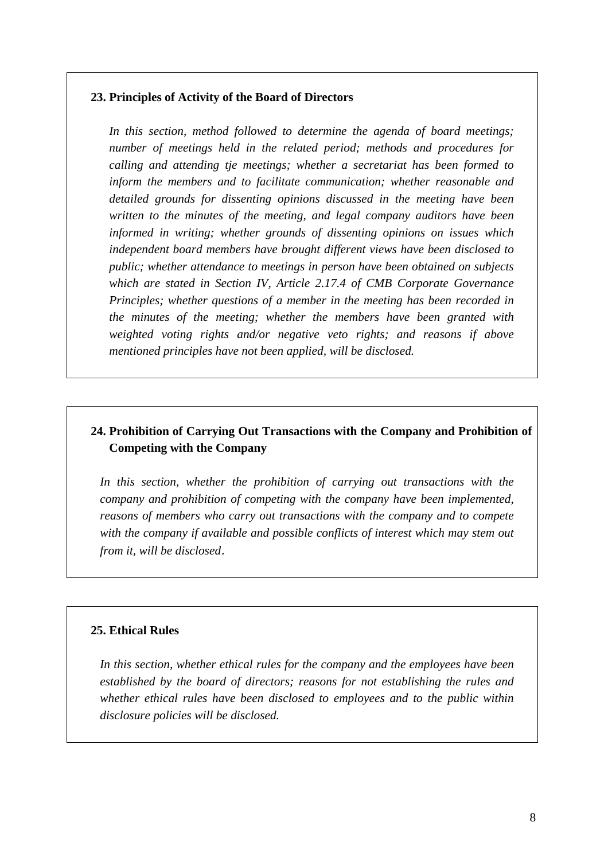#### **23. Principles of Activity of the Board of Directors**

*In this section, method followed to determine the agenda of board meetings; number of meetings held in the related period; methods and procedures for calling and attending tje meetings; whether a secretariat has been formed to inform the members and to facilitate communication; whether reasonable and detailed grounds for dissenting opinions discussed in the meeting have been written to the minutes of the meeting, and legal company auditors have been informed in writing; whether grounds of dissenting opinions on issues which independent board members have brought different views have been disclosed to public; whether attendance to meetings in person have been obtained on subjects which are stated in Section IV, Article 2.17.4 of CMB Corporate Governance Principles; whether questions of a member in the meeting has been recorded in the minutes of the meeting; whether the members have been granted with weighted voting rights and/or negative veto rights; and reasons if above mentioned principles have not been applied, will be disclosed.* 

# **24. Prohibition of Carrying Out Transactions with the Company and Prohibition of Competing with the Company**

*In this section, whether the prohibition of carrying out transactions with the company and prohibition of competing with the company have been implemented, reasons of members who carry out transactions with the company and to compete with the company if available and possible conflicts of interest which may stem out from it, will be disclosed*.

#### **25. Ethical Rules**

*In this section, whether ethical rules for the company and the employees have been established by the board of directors; reasons for not establishing the rules and whether ethical rules have been disclosed to employees and to the public within disclosure policies will be disclosed.*